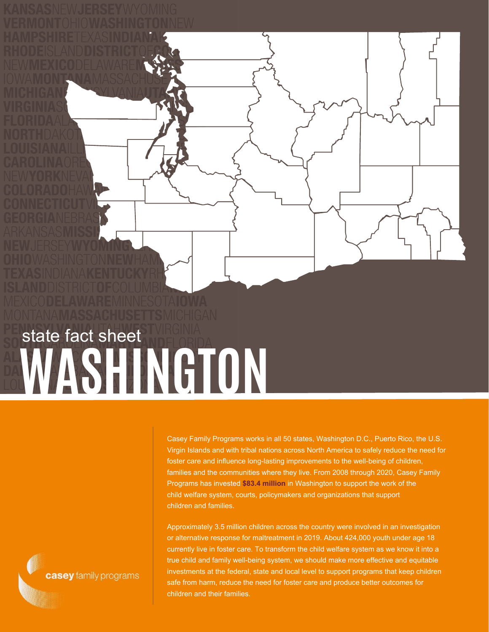## **WASHINGTON** state fact sheet

Casey Family Programs works in all 50 states, Washington D.C., Puerto Rico, the U.S. Virgin Islands and with tribal nations across North America to safely reduce the need for foster care and influence long-lasting improvements to the well-being of children, families and the communities where they live. From 2008 through 2020, Casey Family Programs has invested **\$83.4 million** in Washington to support the work of the child welfare system, courts, policymakers and organizations that support children and families.

Approximately 3.5 million children across the country were involved in an investigation or alternative response for maltreatment in 2019. About 424,000 youth under age 18 currently live in foster care. To transform the child welfare system as we know it into a true child and family well-being system, we should make more effective and equitable investments at the federal, state and local level to support programs that keep children safe from harm, reduce the need for foster care and produce better outcomes for children and their families.

casey family programs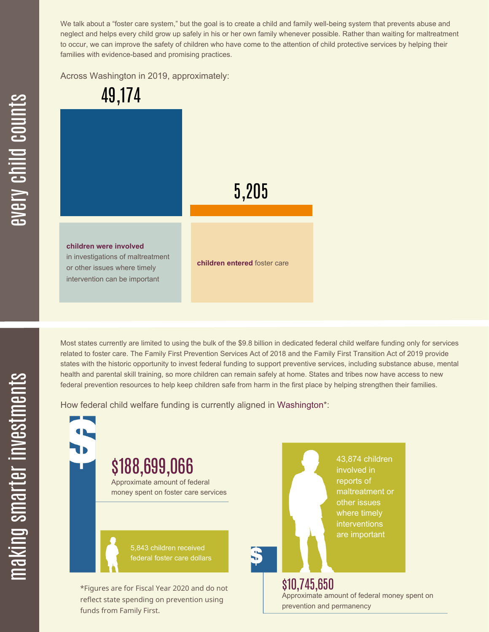We talk about a "foster care system," but the goal is to create a child and family well-being system that prevents abuse and neglect and helps every child grow up safely in his or her own family whenever possible. Rather than waiting for maltreatment to occur, we can improve the safety of children who have come to the attention of child protective services by helping their families with evidence-based and promising practices.

Across Washington in 2019, approximately:



Most states currently are limited to using the bulk of the \$9.8 billion in dedicated federal child welfare funding only for services related to foster care. The Family First Prevention Services Act of 2018 and the Family First Transition Act of 2019 provide states with the historic opportunity to invest federal funding to support preventive services, including substance abuse, mental health and parental skill training, so more children can remain safely at home. States and tribes now have access to new federal prevention resources to help keep children safe from harm in the first place by helping strengthen their families.

How federal child welfare funding is currently aligned in Washington\*:

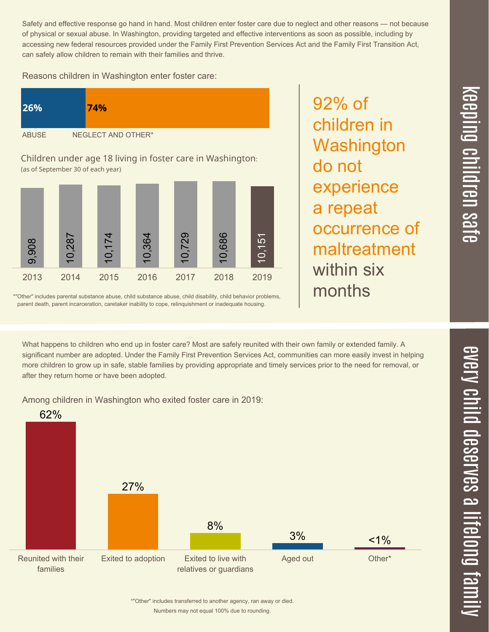$\overline{\phantom{1}}$  $\overline{\mathbf \Theta}$ 

Safety and effective response go hand in hand. Most children enter foster care due to neglect and other reasons — not because of physical or sexual abuse. In Washington, providing targeted and effective interventions as soon as possible, including by accessing new federal resources provided under the Family First Prevention Services Act and the Family First Transition Act, can safely allow children to remain with their families and thrive.

Reasons children in Washington enter foster care:

| <b>26%</b>   | 74%                |  |
|--------------|--------------------|--|
| <b>ABUSE</b> | NEGLECT AND OTHER* |  |

Children under age 18 living in foster care in Washington: (as of September 30 of each year)



\*"Other" includes parental substance abuse, child substance abuse, child disability, child behavior problems, parent death, parent incarceration, caretaker inability to cope, relinquishment or inadequate housing.

92% of children in **Washington** do not experience a repeat occurrence of maltreatment within six months

 $\overline{\mathbf{C}}$ <u>pin</u>  $\overline{\mathbf{C}}$  $\overline{\mathbf{C}}$  $\equiv$  $\overline{\mathbf{c}}$  $\overline{\phantom{0}}$  $\boldsymbol{\mathcal{O}}$ a  $\overrightarrow{\mathbf{e}}$ 

What happens to children who end up in foster care? Most are safely reunited with their own family or extended family. A significant number are adopted. Under the Family First Prevention Services Act, communities can more easily invest in helping more children to grow up in safe, stable families by providing appropriate and timely services prior to the need for removal, or

Among children in Washington who exited foster care in 2019:

after they return home or have been adopted.